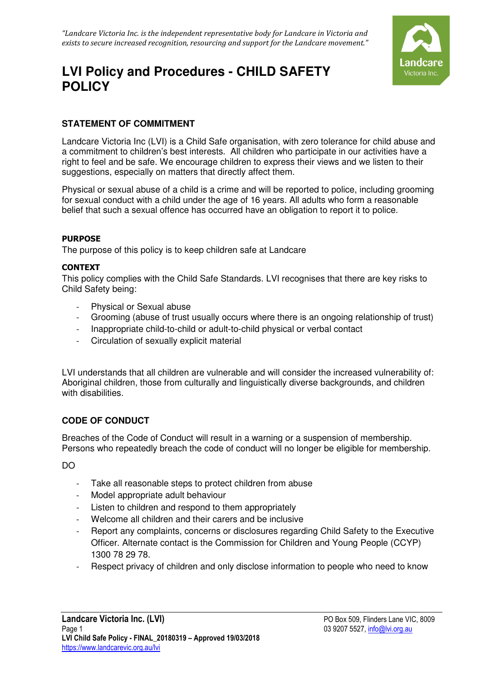

# **LVI Policy and Procedures - CHILD SAFETY POLICY**

# **STATEMENT OF COMMITMENT**

Landcare Victoria Inc (LVI) is a Child Safe organisation, with zero tolerance for child abuse and a commitment to children's best interests. All children who participate in our activities have a right to feel and be safe. We encourage children to express their views and we listen to their suggestions, especially on matters that directly affect them.

Physical or sexual abuse of a child is a crime and will be reported to police, including grooming for sexual conduct with a child under the age of 16 years. All adults who form a reasonable belief that such a sexual offence has occurred have an obligation to report it to police.

#### PURPOSE

The purpose of this policy is to keep children safe at Landcare

#### CONTEXT

This policy complies with the Child Safe Standards. LVI recognises that there are key risks to Child Safety being:

- Physical or Sexual abuse
- Grooming (abuse of trust usually occurs where there is an ongoing relationship of trust)
- Inappropriate child-to-child or adult-to-child physical or verbal contact
- Circulation of sexually explicit material

LVI understands that all children are vulnerable and will consider the increased vulnerability of: Aboriginal children, those from culturally and linguistically diverse backgrounds, and children with disabilities.

## **CODE OF CONDUCT**

Breaches of the Code of Conduct will result in a warning or a suspension of membership. Persons who repeatedly breach the code of conduct will no longer be eligible for membership.

DO

- Take all reasonable steps to protect children from abuse
- Model appropriate adult behaviour
- Listen to children and respond to them appropriately
- Welcome all children and their carers and be inclusive
- Report any complaints, concerns or disclosures regarding Child Safety to the Executive Officer. Alternate contact is the Commission for Children and Young People (CCYP) 1300 78 29 78.
- Respect privacy of children and only disclose information to people who need to know